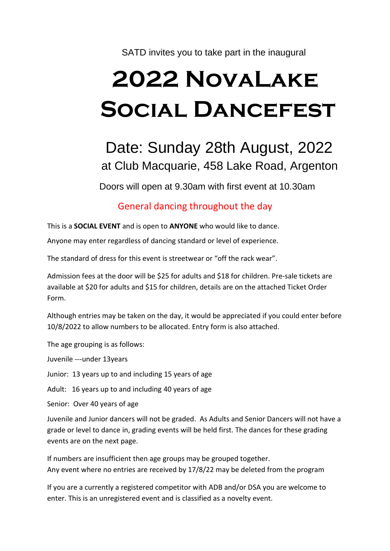SATD invites you to take part in the inaugural

# **2022 NovaLake Social Dancefest**

# Date: Sunday 28th August, 2022 at Club Macquarie, 458 Lake Road, Argenton

Doors will open at 9.30am with first event at 10.30am

## General dancing throughout the day

This is a **SOCIAL EVENT** and is open to **ANYONE** who would like to dance.

Anyone may enter regardless of dancing standard or level of experience.

The standard of dress for this event is streetwear or "off the rack wear".

Admission fees at the door will be \$25 for adults and \$18 for children. Pre-sale tickets are available at \$20 for adults and \$15 for children, details are on the attached Ticket Order Form.

Although entries may be taken on the day, it would be appreciated if you could enter before 10/8/2022 to allow numbers to be allocated. Entry form is also attached.

The age grouping is as follows:

Juvenile ---under 13years

Junior: 13 years up to and including 15 years of age

Adult: 16 years up to and including 40 years of age

Senior: Over 40 years of age

Juvenile and Junior dancers will not be graded. As Adults and Senior Dancers will not have a grade or level to dance in, grading events will be held first. The dances for these grading events are on the next page.

If numbers are insufficient then age groups may be grouped together. Any event where no entries are received by 17/8/22 may be deleted from the program

If you are a currently a registered competitor with ADB and/or DSA you are welcome to enter. This is an unregistered event and is classified as a novelty event.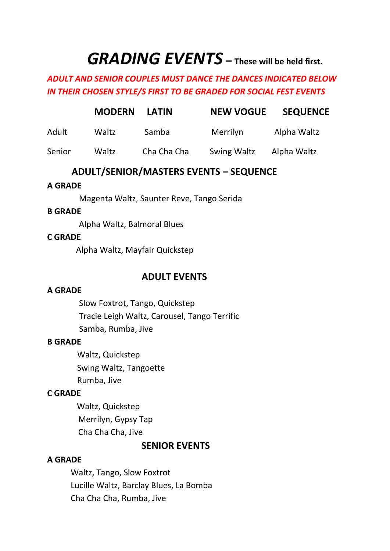# *GRADING EVENTS* **– These will be held first.**

#### *ADULT AND SENIOR COUPLES MUST DANCE THE DANCES INDICATED BELOW IN THEIR CHOSEN STYLE/S FIRST TO BE GRADED FOR SOCIAL FEST EVENTS*

|        | <b>MODERN</b> | <b>LATIN</b> | <b>NEW VOGUE</b>   | <b>SEQUENCE</b> |
|--------|---------------|--------------|--------------------|-----------------|
| Adult  | Waltz         | Samba        | Merrilyn           | Alpha Waltz     |
| Senior | Waltz         | Cha Cha Cha  | <b>Swing Waltz</b> | Alpha Waltz     |

#### **ADULT/SENIOR/MASTERS EVENTS – SEQUENCE**

#### **A GRADE**

Magenta Waltz, Saunter Reve, Tango Serida

#### **B GRADE**

Alpha Waltz, Balmoral Blues

#### **C GRADE**

Alpha Waltz, Mayfair Quickstep

#### **ADULT EVENTS**

#### **A GRADE**

Slow Foxtrot, Tango, Quickstep Tracie Leigh Waltz, Carousel, Tango Terrific Samba, Rumba, Jive

#### **B GRADE**

Waltz, Quickstep Swing Waltz, Tangoette Rumba, Jive

#### **C GRADE**

 Waltz, Quickstep Merrilyn, Gypsy Tap Cha Cha Cha, Jive

#### **SENIOR EVENTS**

#### **A GRADE**

Waltz, Tango, Slow Foxtrot Lucille Waltz, Barclay Blues, La Bomba Cha Cha Cha, Rumba, Jive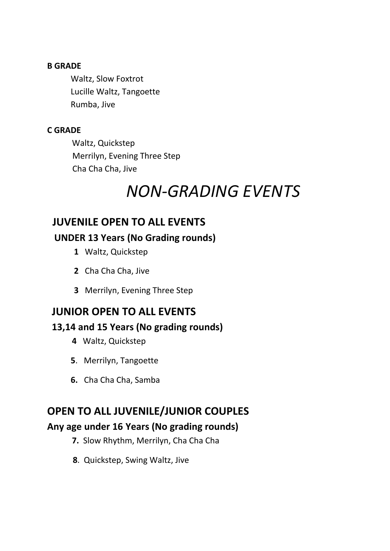#### **B GRADE**

Waltz, Slow Foxtrot Lucille Waltz, Tangoette Rumba, Jive

#### **C GRADE**

Waltz, Quickstep Merrilyn, Evening Three Step Cha Cha Cha, Jive

# *NON-GRADING EVENTS*

# **JUVENILE OPEN TO ALL EVENTS**

#### **UNDER 13 Years (No Grading rounds)**

- **1** Waltz, Quickstep
- **2** Cha Cha Cha, Jive
- **3** Merrilyn, Evening Three Step

## **JUNIOR OPEN TO ALL EVENTS**

#### **13,14 and 15 Years (No grading rounds)**

- **4** Waltz, Quickstep
- **5**. Merrilyn, Tangoette
- **6.** Cha Cha Cha, Samba

# **OPEN TO ALL JUVENILE/JUNIOR COUPLES**

#### **Any age under 16 Years (No grading rounds)**

- **7.** Slow Rhythm, Merrilyn, Cha Cha Cha
- **8**. Quickstep, Swing Waltz, Jive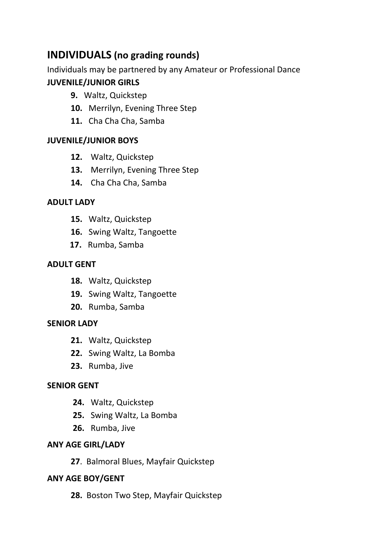# **INDIVIDUALS (no grading rounds)**

Individuals may be partnered by any Amateur or Professional Dance

#### **JUVENILE/JUNIOR GIRLS**

- **9.** Waltz, Quickstep
- **10.** Merrilyn, Evening Three Step
- **11.** Cha Cha Cha, Samba

#### **JUVENILE/JUNIOR BOYS**

- **12.** Waltz, Quickstep
- **13.** Merrilyn, Evening Three Step
- **14.** Cha Cha Cha, Samba

#### **ADULT LADY**

- **15.** Waltz, Quickstep
- **16.** Swing Waltz, Tangoette
- **17.** Rumba, Samba

#### **ADULT GENT**

- **18.** Waltz, Quickstep
- **19.** Swing Waltz, Tangoette
- **20.** Rumba, Samba

#### **SENIOR LADY**

- **21.** Waltz, Quickstep
- **22.** Swing Waltz, La Bomba
- **23.** Rumba, Jive

#### **SENIOR GENT**

- **24.** Waltz, Quickstep
- **25.** Swing Waltz, La Bomba
- **26.** Rumba, Jive

#### **ANY AGE GIRL/LADY**

**27**. Balmoral Blues, Mayfair Quickstep

#### **ANY AGE BOY/GENT**

**28.** Boston Two Step, Mayfair Quickstep